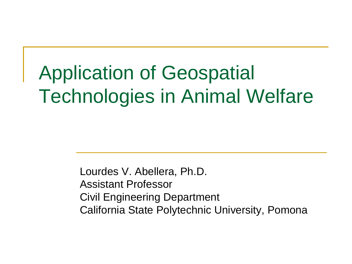#### Application of Geospatial Technologies in Animal Welfare

Lourdes V. Abellera, Ph.D. Assistant Professor Civil Engineering Department California State Polytechnic University, Pomona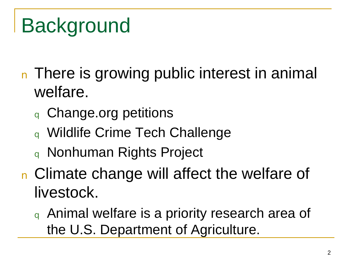#### Background

- n There is growing public interest in animal welfare.
	- **q** Change.org petitions
	- <sup>q</sup> Wildlife Crime Tech Challenge
	- <sup>q</sup> Nonhuman Rights Project
- **n** Climate change will affect the welfare of livestock.
	- <sup>q</sup> Animal welfare is a priority research area of the U.S. Department of Agriculture.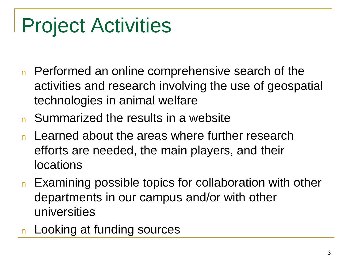## Project Activities

- n Performed an online comprehensive search of the activities and research involving the use of geospatial technologies in animal welfare
- **n** Summarized the results in a website
- Learned about the areas where further research efforts are needed, the main players, and their locations
- n Examining possible topics for collaboration with other departments in our campus and/or with other universities
- **n** Looking at funding sources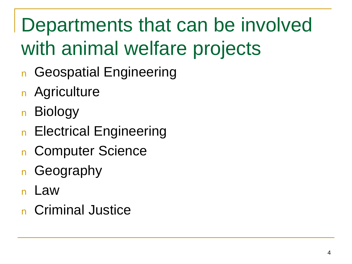## Departments that can be involved with animal welfare projects

- **n** Geospatial Engineering
- **n** Agriculture
- **Biology**
- **n** Electrical Engineering
- n Computer Science
- **n** Geography
- <sup>n</sup> Law
- n Criminal Justice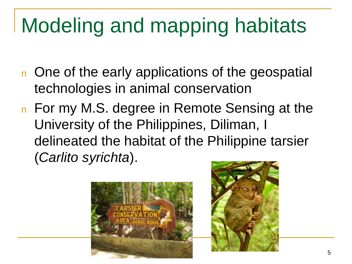# Modeling and mapping habitats

- n One of the early applications of the geospatial technologies in animal conservation
- n For my M.S. degree in Remote Sensing at the University of the Philippines, Diliman, I delineated the habitat of the Philippine tarsier (*Carlito syrichta*).



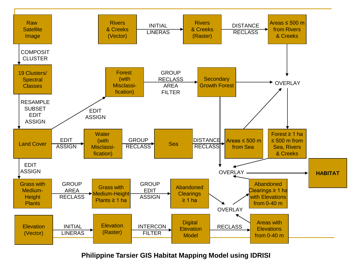

#### **Philippine Tarsier GIS Habitat Mapping Model using IDRISI**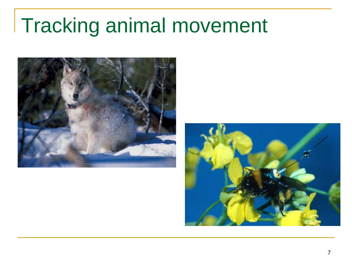#### Tracking animal movement



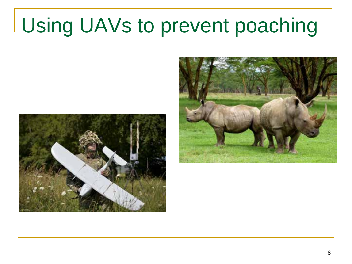## Using UAVs to prevent poaching



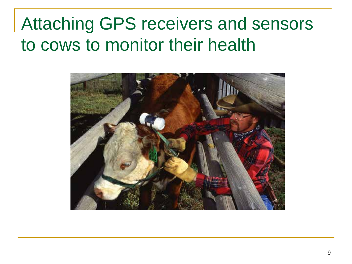#### Attaching GPS receivers and sensors to cows to monitor their health

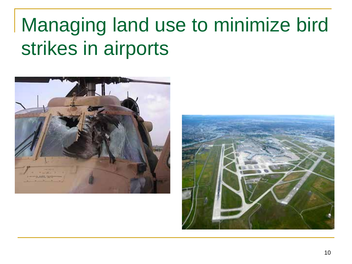#### Managing land use to minimize bird strikes in airports



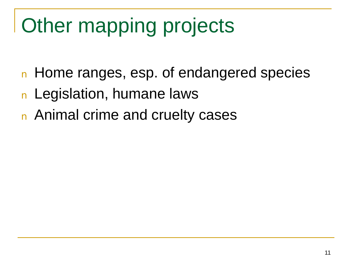# Other mapping projects

- **n** Home ranges, esp. of endangered species
- **n** Legislation, humane laws
- **n** Animal crime and cruelty cases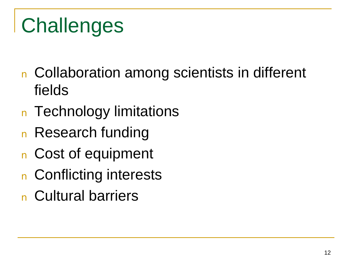# **Challenges**

- n Collaboration among scientists in different fields
- **n** Technology limitations
- n Research funding
- n Cost of equipment
- n Conflicting interests
- n Cultural barriers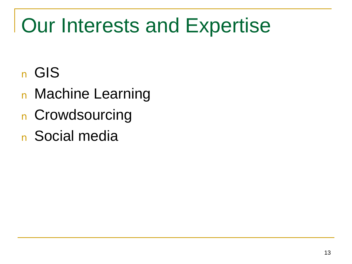#### Our Interests and Expertise

- <sup>n</sup> GIS
- **n** Machine Learning
- **n** Crowdsourcing
- **n** Social media